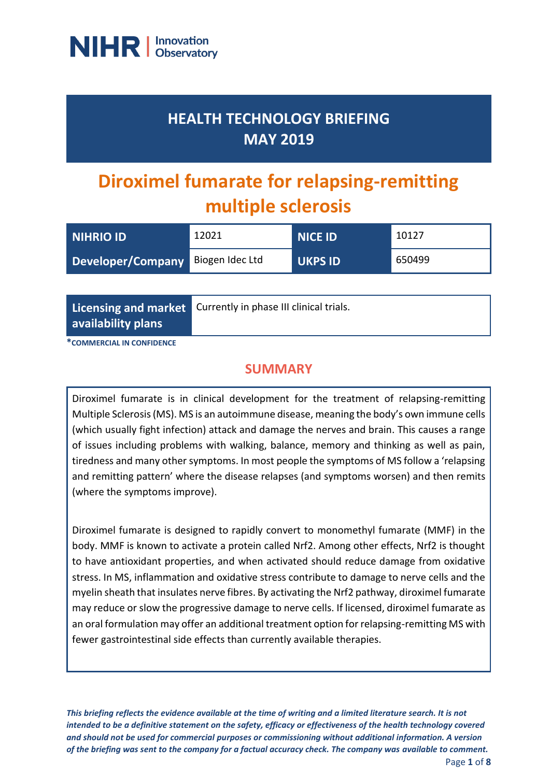

## **HEALTH TECHNOLOGY BRIEFING MAY 2019**

# **Diroximel fumarate for relapsing-remitting multiple sclerosis**

| <b>NIHRIO ID</b>                  | 12021 | $\overline{\phantom{a}}$ NICE ID | 10127  |
|-----------------------------------|-------|----------------------------------|--------|
| Developer/Company Biogen Idec Ltd |       | <b>UKPS ID</b>                   | 650499 |

**Licensing and market availability plans**

Currently in phase III clinical trials.

**\*COMMERCIAL IN CONFIDENCE**

### **SUMMARY**

Diroximel fumarate is in clinical development for the treatment of relapsing-remitting Multiple Sclerosis (MS). MS is an autoimmune disease, meaning the body's own immune cells (which usually fight infection) attack and damage the nerves and brain. This causes a range of issues including problems with walking, balance, memory and thinking as well as pain, tiredness and many other symptoms. In most people the symptoms of MS follow a 'relapsing and remitting pattern' where the disease relapses (and symptoms worsen) and then remits (where the symptoms improve).

Diroximel fumarate is designed to rapidly convert to monomethyl fumarate (MMF) in the body. MMF is known to activate a protein called Nrf2. Among other effects, Nrf2 is thought to have antioxidant properties, and when activated should reduce damage from oxidative stress. In MS, inflammation and oxidative stress contribute to damage to nerve cells and the myelin sheath that insulates nerve fibres. By activating the Nrf2 pathway, diroximel fumarate may reduce or slow the progressive damage to nerve cells. If licensed, diroximel fumarate as an oral formulation may offer an additional treatment option for relapsing-remitting MS with fewer gastrointestinal side effects than currently available therapies.

*This briefing reflects the evidence available at the time of writing and a limited literature search. It is not intended to be a definitive statement on the safety, efficacy or effectiveness of the health technology covered and should not be used for commercial purposes or commissioning without additional information. A version of the briefing was sent to the company for a factual accuracy check. The company was available to comment.*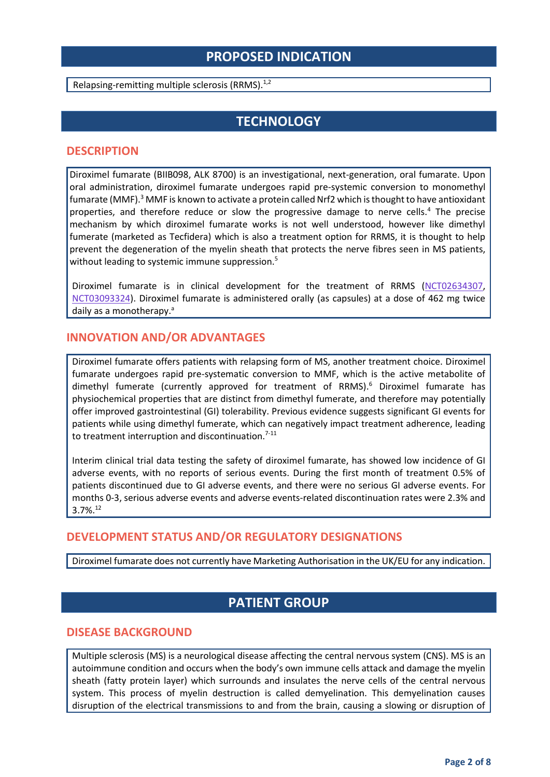## **PROPOSED INDICATION**

Relapsing-remitting multiple sclerosis (RRMS).<sup>1,2</sup>

## **TECHNOLOGY**

#### **DESCRIPTION**

Diroximel fumarate (BIIB098, ALK 8700) is an investigational, next-generation, oral fumarate. Upon oral administration, diroximel fumarate undergoes rapid pre-systemic conversion to monomethyl fumarate (MMF).<sup>3</sup> MMF is known to activate a protein called Nrf2 which is thought to have antioxidant properties, and therefore reduce or slow the progressive damage to nerve cells.<sup>4</sup> The precise mechanism by which diroximel fumarate works is not well understood, however like dimethyl fumerate (marketed as Tecfidera) which is also a treatment option for RRMS, it is thought to help prevent the degeneration of the myelin sheath that protects the nerve fibres seen in MS patients, without leading to systemic immune suppression.<sup>5</sup>

Diroximel fumarate is in clinical development for the treatment of RRMS [\(NCT02634307,](https://clinicaltrials.gov/ct2/show/NCT02634307?term=NCT02634307&rank=1) [NCT03093324\)](https://clinicaltrials.gov/ct2/show/NCT03093324). Diroximel fumarate is administered orally (as capsules) at a dose of 462 mg twice daily as a monotherapy.<sup>a</sup>

#### **INNOVATION AND/OR ADVANTAGES**

Diroximel fumarate offers patients with relapsing form of MS, another treatment choice. Diroximel fumarate undergoes rapid pre-systematic conversion to MMF, which is the active metabolite of dimethyl fumerate (currently approved for treatment of RRMS). <sup>6</sup> Diroximel fumarate has physiochemical properties that are distinct from dimethyl fumerate, and therefore may potentially offer improved gastrointestinal (GI) tolerability. Previous evidence suggests significant GI events for patients while using dimethyl fumerate, which can negatively impact treatment adherence, leading to treatment interruption and discontinuation. $7-11$ 

Interim clinical trial data testing the safety of diroximel fumarate, has showed low incidence of GI adverse events, with no reports of serious events. During the first month of treatment 0.5% of patients discontinued due to GI adverse events, and there were no serious GI adverse events. For months 0-3, serious adverse events and adverse events-related discontinuation rates were 2.3% and  $3.7\%$ <sup>12</sup>

#### **DEVELOPMENT STATUS AND/OR REGULATORY DESIGNATIONS**

Diroximel fumarate does not currently have Marketing Authorisation in the UK/EU for any indication.

## **PATIENT GROUP**

#### **DISEASE BACKGROUND**

Multiple sclerosis (MS) is a neurological disease affecting the central nervous system (CNS). MS is an autoimmune condition and occurs when the body's own immune cells attack and damage the myelin sheath (fatty protein layer) which surrounds and insulates the nerve cells of the central nervous system. This process of myelin destruction is called demyelination. This demyelination causes disruption of the electrical transmissions to and from the brain, causing a slowing or disruption of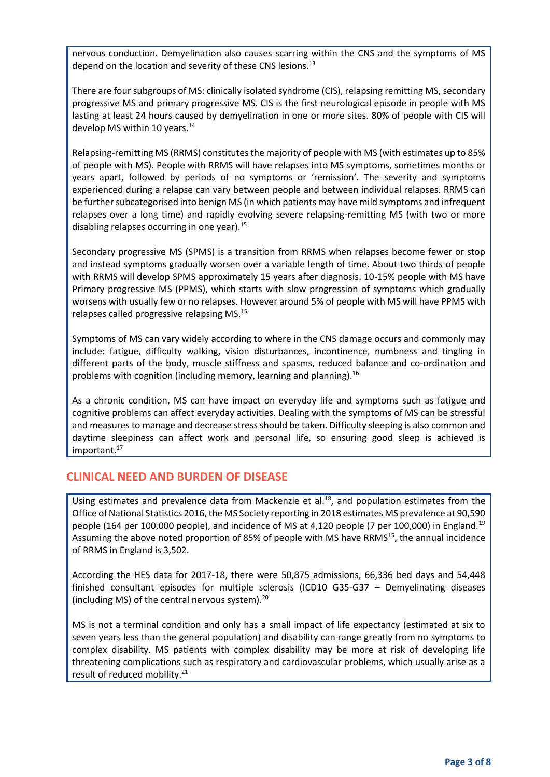nervous conduction. Demyelination also causes scarring within the CNS and the symptoms of MS depend on the location and severity of these CNS lesions.<sup>13</sup>

There are four subgroups of MS: clinically isolated syndrome (CIS), relapsing remitting MS, secondary progressive MS and primary progressive MS. CIS is the first neurological episode in people with MS lasting at least 24 hours caused by demyelination in one or more sites. 80% of people with CIS will develop MS within 10 years.<sup>14</sup>

Relapsing-remitting MS (RRMS) constitutes the majority of people with MS (with estimates up to 85% of people with MS). People with RRMS will have relapses into MS symptoms, sometimes months or years apart, followed by periods of no symptoms or 'remission'. The severity and symptoms experienced during a relapse can vary between people and between individual relapses. RRMS can be further subcategorised into benign MS (in which patients may have mild symptoms and infrequent relapses over a long time) and rapidly evolving severe relapsing-remitting MS (with two or more disabling relapses occurring in one year).<sup>15</sup>

Secondary progressive MS (SPMS) is a transition from RRMS when relapses become fewer or stop and instead symptoms gradually worsen over a variable length of time. About two thirds of people with RRMS will develop SPMS approximately 15 years after diagnosis. 10-15% people with MS have Primary progressive MS (PPMS), which starts with slow progression of symptoms which gradually worsens with usually few or no relapses. However around 5% of people with MS will have PPMS with relapses called progressive relapsing MS.<sup>15</sup>

Symptoms of MS can vary widely according to where in the CNS damage occurs and commonly may include: fatigue, difficulty walking, vision disturbances, incontinence, numbness and tingling in different parts of the body, muscle stiffness and spasms, reduced balance and co-ordination and problems with cognition (including memory, learning and planning).<sup>16</sup>

As a chronic condition, MS can have impact on everyday life and symptoms such as fatigue and cognitive problems can affect everyday activities. Dealing with the symptoms of MS can be stressful and measures to manage and decrease stress should be taken. Difficulty sleeping is also common and daytime sleepiness can affect work and personal life, so ensuring good sleep is achieved is important.<sup>17</sup>

#### **CLINICAL NEED AND BURDEN OF DISEASE**

Using estimates and prevalence data from Mackenzie et al.<sup>18</sup>, and population estimates from the Office of National Statistics 2016, the MS Society reporting in 2018 estimates MS prevalence at 90,590 people (164 per 100,000 people), and incidence of MS at 4,120 people (7 per 100,000) in England.<sup>19</sup> Assuming the above noted proportion of 85% of people with MS have RRMS<sup>15</sup>, the annual incidence of RRMS in England is 3,502.

According the HES data for 2017-18, there were 50,875 admissions, 66,336 bed days and 54,448 finished consultant episodes for multiple sclerosis (ICD10 G35-G37 – Demyelinating diseases (including MS) of the central nervous system). $^{20}$ 

MS is not a terminal condition and only has a small impact of life expectancy (estimated at six to seven years less than the general population) and disability can range greatly from no symptoms to complex disability. MS patients with complex disability may be more at risk of developing life threatening complications such as respiratory and cardiovascular problems, which usually arise as a result of reduced mobility.<sup>21</sup>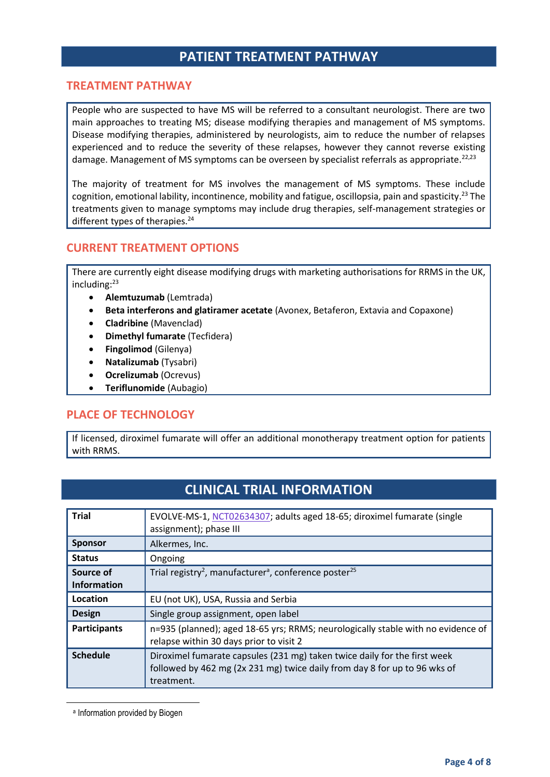## **PATIENT TREATMENT PATHWAY**

#### **TREATMENT PATHWAY**

People who are suspected to have MS will be referred to a consultant neurologist. There are two main approaches to treating MS; disease modifying therapies and management of MS symptoms. Disease modifying therapies, administered by neurologists, aim to reduce the number of relapses experienced and to reduce the severity of these relapses, however they cannot reverse existing damage. Management of MS symptoms can be overseen by specialist referrals as appropriate.<sup>22,23</sup>

The majority of treatment for MS involves the management of MS symptoms. These include cognition, emotional lability, incontinence, mobility and fatigue, oscillopsia, pain and spasticity.<sup>23</sup> The treatments given to manage symptoms may include drug therapies, self-management strategies or different types of therapies.<sup>24</sup>

#### **CURRENT TREATMENT OPTIONS**

There are currently eight disease modifying drugs with marketing authorisations for RRMS in the UK, including:<sup>23</sup>

- **Alemtuzumab** (Lemtrada)
- **Beta interferons and glatiramer acetate** (Avonex, Betaferon, Extavia and Copaxone)
- **Cladribine** (Mavenclad)
- **Dimethyl fumarate** (Tecfidera)
- **Fingolimod** (Gilenya)
- **Natalizumab** (Tysabri)
- **Ocrelizumab** (Ocrevus)
- **Teriflunomide** (Aubagio)

#### **PLACE OF TECHNOLOGY**

If licensed, diroximel fumarate will offer an additional monotherapy treatment option for patients with RRMS.

## **CLINICAL TRIAL INFORMATION**

| <b>Trial</b>                    | EVOLVE-MS-1, NCT02634307; adults aged 18-65; diroximel fumarate (single<br>assignment); phase III                                                                    |
|---------------------------------|----------------------------------------------------------------------------------------------------------------------------------------------------------------------|
| <b>Sponsor</b>                  | Alkermes, Inc.                                                                                                                                                       |
| <b>Status</b>                   | Ongoing                                                                                                                                                              |
| Source of<br><b>Information</b> | Trial registry <sup>2</sup> , manufacturer <sup>a</sup> , conference poster <sup>25</sup>                                                                            |
| Location                        | EU (not UK), USA, Russia and Serbia                                                                                                                                  |
| <b>Design</b>                   | Single group assignment, open label                                                                                                                                  |
| <b>Participants</b>             | n=935 (planned); aged 18-65 yrs; RRMS; neurologically stable with no evidence of<br>relapse within 30 days prior to visit 2                                          |
| <b>Schedule</b>                 | Diroximel fumarate capsules (231 mg) taken twice daily for the first week<br>followed by 462 mg (2x 231 mg) twice daily from day 8 for up to 96 wks of<br>treatment. |

a Information provided by Biogen

**.**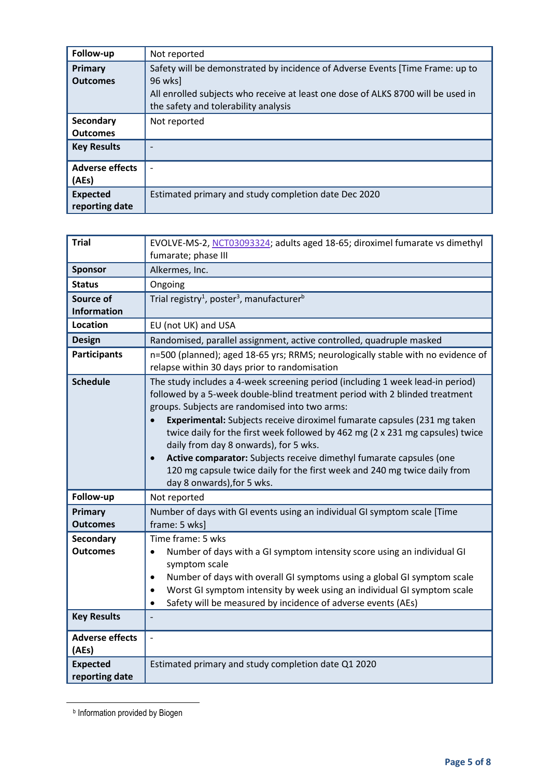| Follow-up                         | Not reported                                                                                                             |
|-----------------------------------|--------------------------------------------------------------------------------------------------------------------------|
| <b>Primary</b><br><b>Outcomes</b> | Safety will be demonstrated by incidence of Adverse Events [Time Frame: up to<br>96 wksl                                 |
|                                   | All enrolled subjects who receive at least one dose of ALKS 8700 will be used in<br>the safety and tolerability analysis |
| Secondary                         | Not reported                                                                                                             |
| <b>Outcomes</b>                   |                                                                                                                          |
| <b>Key Results</b>                |                                                                                                                          |
| <b>Adverse effects</b>            |                                                                                                                          |
| (AEs)                             |                                                                                                                          |
| <b>Expected</b><br>reporting date | Estimated primary and study completion date Dec 2020                                                                     |

| <b>Trial</b>                      | EVOLVE-MS-2, NCT03093324; adults aged 18-65; diroximel fumarate vs dimethyl                                                                                                                                                                                                                                                                                                                                                                                                                                                                                                                                          |
|-----------------------------------|----------------------------------------------------------------------------------------------------------------------------------------------------------------------------------------------------------------------------------------------------------------------------------------------------------------------------------------------------------------------------------------------------------------------------------------------------------------------------------------------------------------------------------------------------------------------------------------------------------------------|
|                                   | fumarate; phase III                                                                                                                                                                                                                                                                                                                                                                                                                                                                                                                                                                                                  |
| <b>Sponsor</b>                    | Alkermes, Inc.                                                                                                                                                                                                                                                                                                                                                                                                                                                                                                                                                                                                       |
| <b>Status</b>                     | Ongoing                                                                                                                                                                                                                                                                                                                                                                                                                                                                                                                                                                                                              |
| Source of                         | Trial registry <sup>1</sup> , poster <sup>3</sup> , manufacturer <sup>b</sup>                                                                                                                                                                                                                                                                                                                                                                                                                                                                                                                                        |
| <b>Information</b>                |                                                                                                                                                                                                                                                                                                                                                                                                                                                                                                                                                                                                                      |
| Location                          | EU (not UK) and USA                                                                                                                                                                                                                                                                                                                                                                                                                                                                                                                                                                                                  |
| <b>Design</b>                     | Randomised, parallel assignment, active controlled, quadruple masked                                                                                                                                                                                                                                                                                                                                                                                                                                                                                                                                                 |
| <b>Participants</b>               | n=500 (planned); aged 18-65 yrs; RRMS; neurologically stable with no evidence of<br>relapse within 30 days prior to randomisation                                                                                                                                                                                                                                                                                                                                                                                                                                                                                    |
| <b>Schedule</b>                   | The study includes a 4-week screening period (including 1 week lead-in period)<br>followed by a 5-week double-blind treatment period with 2 blinded treatment<br>groups. Subjects are randomised into two arms:<br>Experimental: Subjects receive diroximel fumarate capsules (231 mg taken<br>twice daily for the first week followed by 462 mg (2 x 231 mg capsules) twice<br>daily from day 8 onwards), for 5 wks.<br>Active comparator: Subjects receive dimethyl fumarate capsules (one<br>$\bullet$<br>120 mg capsule twice daily for the first week and 240 mg twice daily from<br>day 8 onwards), for 5 wks. |
| Follow-up                         | Not reported                                                                                                                                                                                                                                                                                                                                                                                                                                                                                                                                                                                                         |
| Primary<br><b>Outcomes</b>        | Number of days with GI events using an individual GI symptom scale [Time<br>frame: 5 wks]                                                                                                                                                                                                                                                                                                                                                                                                                                                                                                                            |
| <b>Secondary</b>                  | Time frame: 5 wks                                                                                                                                                                                                                                                                                                                                                                                                                                                                                                                                                                                                    |
| <b>Outcomes</b>                   | Number of days with a GI symptom intensity score using an individual GI<br>$\bullet$<br>symptom scale<br>Number of days with overall GI symptoms using a global GI symptom scale<br>Worst GI symptom intensity by week using an individual GI symptom scale<br>Safety will be measured by incidence of adverse events (AEs)<br>$\bullet$                                                                                                                                                                                                                                                                             |
| <b>Key Results</b>                |                                                                                                                                                                                                                                                                                                                                                                                                                                                                                                                                                                                                                      |
| <b>Adverse effects</b><br>(AEs)   |                                                                                                                                                                                                                                                                                                                                                                                                                                                                                                                                                                                                                      |
| <b>Expected</b><br>reporting date | Estimated primary and study completion date Q1 2020                                                                                                                                                                                                                                                                                                                                                                                                                                                                                                                                                                  |

**b** Information provided by Biogen

**.**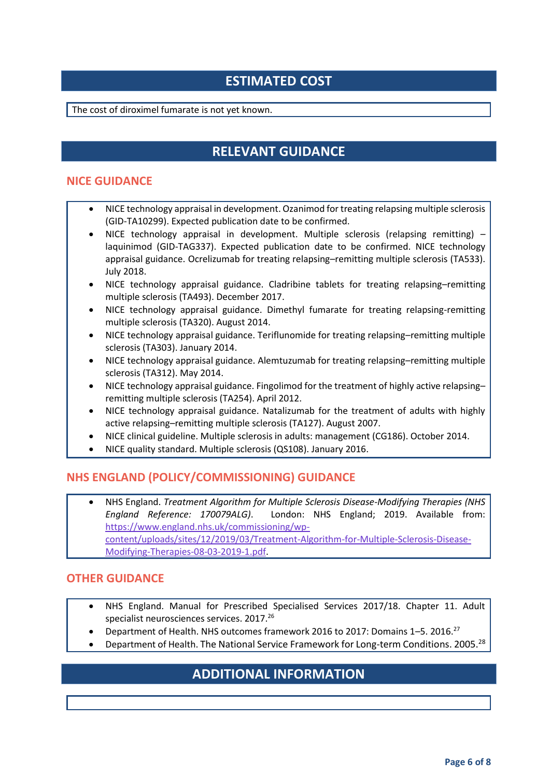## **ESTIMATED COST**

The cost of diroximel fumarate is not yet known.

## **RELEVANT GUIDANCE**

#### **NICE GUIDANCE**

- NICE technology appraisal in development. Ozanimod for treating relapsing multiple sclerosis (GID-TA10299). Expected publication date to be confirmed.
- NICE technology appraisal in development. Multiple sclerosis (relapsing remitting) laquinimod (GID-TAG337). Expected publication date to be confirmed. NICE technology appraisal guidance. Ocrelizumab for treating relapsing–remitting multiple sclerosis (TA533). July 2018.
- NICE technology appraisal guidance. Cladribine tablets for treating relapsing–remitting multiple sclerosis (TA493). December 2017.
- NICE technology appraisal guidance. Dimethyl fumarate for treating relapsing-remitting multiple sclerosis (TA320). August 2014.
- NICE technology appraisal guidance. Teriflunomide for treating relapsing–remitting multiple sclerosis (TA303). January 2014.
- NICE technology appraisal guidance. Alemtuzumab for treating relapsing–remitting multiple sclerosis (TA312). May 2014.
- NICE technology appraisal guidance. Fingolimod for the treatment of highly active relapsing– remitting multiple sclerosis (TA254). April 2012.
- NICE technology appraisal guidance. Natalizumab for the treatment of adults with highly active relapsing–remitting multiple sclerosis (TA127). August 2007.
- NICE clinical guideline. Multiple sclerosis in adults: management (CG186). October 2014.
- NICE quality standard. Multiple sclerosis (QS108). January 2016.

#### **NHS ENGLAND (POLICY/COMMISSIONING) GUIDANCE**

 NHS England. *Treatment Algorithm for Multiple Sclerosis Disease-Modifying Therapies (NHS England Reference: 170079ALG)*. London: NHS England; 2019. Available from: [https://www.england.nhs.uk/commissioning/wp](https://www.england.nhs.uk/commissioning/wp-content/uploads/sites/12/2019/03/Treatment-Algorithm-for-Multiple-Sclerosis-Disease-Modifying-Therapies-08-03-2019-1.pdf)[content/uploads/sites/12/2019/03/Treatment-Algorithm-for-Multiple-Sclerosis-Disease-](https://www.england.nhs.uk/commissioning/wp-content/uploads/sites/12/2019/03/Treatment-Algorithm-for-Multiple-Sclerosis-Disease-Modifying-Therapies-08-03-2019-1.pdf)[Modifying-Therapies-08-03-2019-1.pdf.](https://www.england.nhs.uk/commissioning/wp-content/uploads/sites/12/2019/03/Treatment-Algorithm-for-Multiple-Sclerosis-Disease-Modifying-Therapies-08-03-2019-1.pdf)

#### **OTHER GUIDANCE**

- NHS England. Manual for Prescribed Specialised Services 2017/18. Chapter 11. Adult specialist neurosciences services. 2017. 26
- Department of Health. NHS outcomes framework 2016 to 2017: Domains 1–5. 2016.<sup>27</sup>
- Department of Health. The National Service Framework for Long-term Conditions. 2005.<sup>28</sup>

## **ADDITIONAL INFORMATION**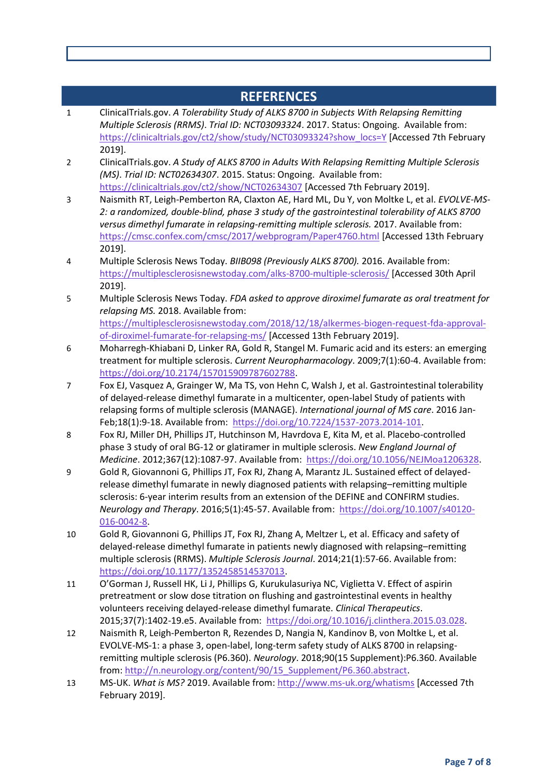#### **REFERENCES** 1 ClinicalTrials.gov. *A Tolerability Study of ALKS 8700 in Subjects With Relapsing Remitting Multiple Sclerosis (RRMS)*. *Trial ID: NCT03093324*. 2017. Status: Ongoing. Available from: [https://clinicaltrials.gov/ct2/show/study/NCT03093324?show\\_locs=Y](https://clinicaltrials.gov/ct2/show/study/NCT03093324?show_locs=Y) [Accessed 7th February 2019]. 2 ClinicalTrials.gov. *A Study of ALKS 8700 in Adults With Relapsing Remitting Multiple Sclerosis (MS)*. *Trial ID: NCT02634307*. 2015. Status: Ongoing. Available from: <https://clinicaltrials.gov/ct2/show/NCT02634307> [Accessed 7th February 2019]. 3 Naismith RT, Leigh-Pemberton RA, Claxton AE, Hard ML, Du Y, von Moltke L, et al. *EVOLVE-MS-2: a randomized, double-blind, phase 3 study of the gastrointestinal tolerability of ALKS 8700 versus dimethyl fumarate in relapsing-remitting multiple sclerosis.* 2017. Available from: <https://cmsc.confex.com/cmsc/2017/webprogram/Paper4760.html> [Accessed 13th February 2019]. 4 Multiple Sclerosis News Today. *BIIB098 (Previously ALKS 8700).* 2016. Available from: <https://multiplesclerosisnewstoday.com/alks-8700-multiple-sclerosis/> [Accessed 30th April 2019]. 5 Multiple Sclerosis News Today. *FDA asked to approve diroximel fumarate as oral treatment for relapsing MS.* 2018. Available from: [https://multiplesclerosisnewstoday.com/2018/12/18/alkermes-biogen-request-fda-approval](https://multiplesclerosisnewstoday.com/2018/12/18/alkermes-biogen-request-fda-approval-of-diroximel-fumarate-for-relapsing-ms/)[of-diroximel-fumarate-for-relapsing-ms/](https://multiplesclerosisnewstoday.com/2018/12/18/alkermes-biogen-request-fda-approval-of-diroximel-fumarate-for-relapsing-ms/) [Accessed 13th February 2019]. 6 Moharregh-Khiabani D, Linker RA, Gold R, Stangel M. Fumaric acid and its esters: an emerging treatment for multiple sclerosis. *Current Neuropharmacology*. 2009;7(1):60-4. Available from: [https://doi.org/10.2174/157015909787602788.](https://doi.org/10.2174/157015909787602788) 7 Fox EJ, Vasquez A, Grainger W, Ma TS, von Hehn C, Walsh J, et al. Gastrointestinal tolerability of delayed-release dimethyl fumarate in a multicenter, open-label Study of patients with relapsing forms of multiple sclerosis (MANAGE). *International journal of MS care*. 2016 Jan-Feb;18(1):9-18. Available from: [https://doi.org/10.7224/1537-2073.2014-101.](https://doi.org/10.7224/1537-2073.2014-101) 8 Fox RJ, Miller DH, Phillips JT, Hutchinson M, Havrdova E, Kita M, et al. Placebo-controlled phase 3 study of oral BG-12 or glatiramer in multiple sclerosis. *New England Journal of Medicine*. 2012;367(12):1087-97. Available from: [https://doi.org/10.1056/NEJMoa1206328.](https://doi.org/10.1056/NEJMoa1206328) 9 Gold R, Giovannoni G, Phillips JT, Fox RJ, Zhang A, Marantz JL. Sustained effect of delayedrelease dimethyl fumarate in newly diagnosed patients with relapsing–remitting multiple sclerosis: 6-year interim results from an extension of the DEFINE and CONFIRM studies. *Neurology and Therapy*. 2016;5(1):45-57. Available from: [https://doi.org/10.1007/s40120-](https://doi.org/10.1007/s40120-016-0042-8) [016-0042-8.](https://doi.org/10.1007/s40120-016-0042-8) 10 Gold R, Giovannoni G, Phillips JT, Fox RJ, Zhang A, Meltzer L, et al. Efficacy and safety of delayed-release dimethyl fumarate in patients newly diagnosed with relapsing–remitting multiple sclerosis (RRMS). *Multiple Sclerosis Journal*. 2014;21(1):57-66. Available from: [https://doi.org/10.1177/1352458514537013.](https://doi.org/10.1177/1352458514537013) 11 O'Gorman J, Russell HK, Li J, Phillips G, Kurukulasuriya NC, Viglietta V. Effect of aspirin pretreatment or slow dose titration on flushing and gastrointestinal events in healthy volunteers receiving delayed-release dimethyl fumarate. *Clinical Therapeutics*. 2015;37(7):1402-19.e5. Available from: [https://doi.org/10.1016/j.clinthera.2015.03.028.](https://doi.org/10.1016/j.clinthera.2015.03.028) 12 Naismith R, Leigh-Pemberton R, Rezendes D, Nangia N, Kandinov B, von Moltke L, et al. EVOLVE-MS-1: a phase 3, open-label, long-term safety study of ALKS 8700 in relapsingremitting multiple sclerosis (P6.360). *Neurology*. 2018;90(15 Supplement):P6.360. Available from: [http://n.neurology.org/content/90/15\\_Supplement/P6.360.abstract.](http://n.neurology.org/content/90/15_Supplement/P6.360.abstract) 13 MS-UK. *What is MS?* 2019. Available from:<http://www.ms-uk.org/whatisms> [Accessed 7th

February 2019].